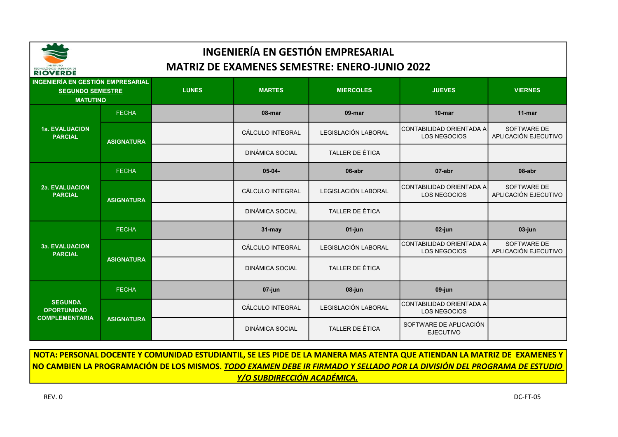

| <b>INGENIERÍA EN GESTIÓN EMPRESARIAL</b><br><b>SEGUNDO SEMESTRE</b><br><b>MATUTINO</b> |                   | <b>LUNES</b> | <b>MARTES</b>          | <b>MIERCOLES</b>       | <b>JUEVES</b>                              | <b>VIERNES</b>                      |
|----------------------------------------------------------------------------------------|-------------------|--------------|------------------------|------------------------|--------------------------------------------|-------------------------------------|
|                                                                                        | <b>FECHA</b>      |              | 08-mar                 | 09-mar                 | 10-mar                                     | $11$ -mar                           |
| <b>1a. EVALUACION</b><br><b>PARCIAL</b>                                                | <b>ASIGNATURA</b> |              | CÁLCULO INTEGRAL       | LEGISLACIÓN LABORAL    | CONTABILIDAD ORIENTADA A<br>LOS NEGOCIOS   | SOFTWARE DE<br>APLICACIÓN EJECUTIVO |
|                                                                                        |                   |              | <b>DINÁMICA SOCIAL</b> | TALLER DE ÉTICA        |                                            |                                     |
| 2a. EVALUACION<br><b>PARCIAL</b>                                                       | <b>FECHA</b>      |              | $05-04-$               | 06-abr                 | 07-abr                                     | 08-abr                              |
|                                                                                        | <b>ASIGNATURA</b> |              | CÁLCULO INTEGRAL       | LEGISLACIÓN LABORAL    | CONTABILIDAD ORIENTADA A<br>LOS NEGOCIOS   | SOFTWARE DE<br>APLICACIÓN EJECUTIVO |
|                                                                                        |                   |              | <b>DINÁMICA SOCIAL</b> | <b>TALLER DE ÉTICA</b> |                                            |                                     |
| <b>3a. EVALUACION</b><br><b>PARCIAL</b>                                                | <b>FECHA</b>      |              | 31-may                 | 01-jun                 | 02-jun                                     | 03-jun                              |
|                                                                                        | <b>ASIGNATURA</b> |              | CÁLCULO INTEGRAL       | LEGISLACIÓN LABORAL    | CONTABILIDAD ORIENTADA A<br>LOS NEGOCIOS   | SOFTWARE DE<br>APLICACIÓN EJECUTIVO |
|                                                                                        |                   |              | <b>DINÁMICA SOCIAL</b> | TALLER DE ÉTICA        |                                            |                                     |
| <b>SEGUNDA</b><br><b>OPORTUNIDAD</b><br><b>COMPLEMENTARIA</b>                          | <b>FECHA</b>      |              | 07-jun                 | 08-jun                 | 09-jun                                     |                                     |
|                                                                                        |                   |              | CÁLCULO INTEGRAL       | LEGISLACIÓN LABORAL    | ICONTABILIDAD ORIENTADA A<br>LOS NEGOCIOS  |                                     |
|                                                                                        | <b>ASIGNATURA</b> |              | <b>DINÁMICA SOCIAL</b> | TALLER DE ÉTICA        | SOFTWARE DE APLICACIÓN<br><b>EJECUTIVO</b> |                                     |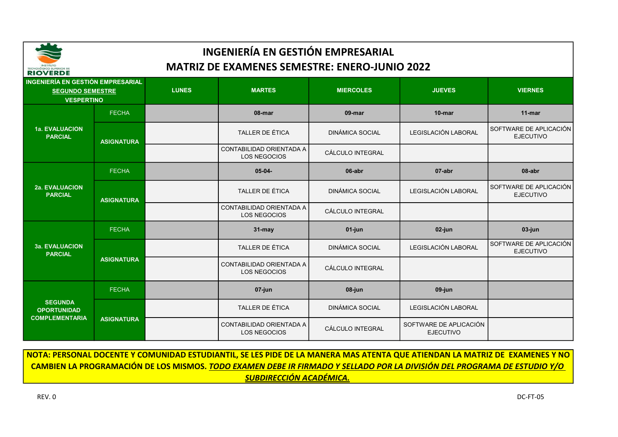

| INGENIERÍA EN GESTIÓN EMPRESARIAL<br><b>SEGUNDO SEMESTRE</b><br><b>VESPERTINO</b> |                   | <b>LUNES</b> | <b>MARTES</b>                                   | <b>MIERCOLES</b>       | <b>JUEVES</b>                              | <b>VIERNES</b>                             |
|-----------------------------------------------------------------------------------|-------------------|--------------|-------------------------------------------------|------------------------|--------------------------------------------|--------------------------------------------|
|                                                                                   | <b>FECHA</b>      |              | 08-mar                                          | 09-mar                 | $10$ -mar                                  | $11$ -mar                                  |
| <b>1a. EVALUACION</b><br><b>PARCIAL</b>                                           | <b>ASIGNATURA</b> |              | <b>TALLER DE ÉTICA</b>                          | <b>DINÁMICA SOCIAL</b> | LEGISLACIÓN LABORAL                        | SOFTWARE DE APLICACIÓN<br><b>EJECUTIVO</b> |
|                                                                                   |                   |              | CONTABILIDAD ORIENTADA A<br><b>LOS NEGOCIOS</b> | CÁLCULO INTEGRAL       |                                            |                                            |
| <b>2a. EVALUACION</b><br><b>PARCIAL</b>                                           | <b>FECHA</b>      |              | $05-04-$                                        | 06-abr                 | 07-abr                                     | 08-abr                                     |
|                                                                                   | <b>ASIGNATURA</b> |              | TALLER DE ÉTICA                                 | <b>DINÁMICA SOCIAL</b> | LEGISLACIÓN LABORAL                        | SOFTWARE DE APLICACIÓN<br><b>EJECUTIVO</b> |
|                                                                                   |                   |              | CONTABILIDAD ORIENTADA A<br><b>LOS NEGOCIOS</b> | CÁLCULO INTEGRAL       |                                            |                                            |
|                                                                                   | <b>FECHA</b>      |              | $31 -$ may                                      | 01-jun                 | 02-jun                                     | 03-jun                                     |
| <b>3a. EVALUACION</b><br><b>PARCIAL</b>                                           | <b>ASIGNATURA</b> |              | <b>TALLER DE ÉTICA</b>                          | <b>DINÁMICA SOCIAL</b> | LEGISLACIÓN LABORAL                        | SOFTWARE DE APLICACIÓN<br><b>EJECUTIVO</b> |
|                                                                                   |                   |              | CONTABILIDAD ORIENTADA A<br>LOS NEGOCIOS        | CÁLCULO INTEGRAL       |                                            |                                            |
| <b>SEGUNDA</b><br><b>OPORTUNIDAD</b><br><b>COMPLEMENTARIA</b>                     | <b>FECHA</b>      |              | $07$ -jun                                       | 08-jun                 | $09$ -jun                                  |                                            |
|                                                                                   |                   |              | TALLER DE ÉTICA                                 | <b>DINÁMICA SOCIAL</b> | LEGISLACIÓN LABORAL                        |                                            |
|                                                                                   | <b>ASIGNATURA</b> |              | CONTABILIDAD ORIENTADA A<br>LOS NEGOCIOS        | CÁLCULO INTEGRAL       | SOFTWARE DE APLICACIÓN<br><b>EJECUTIVO</b> |                                            |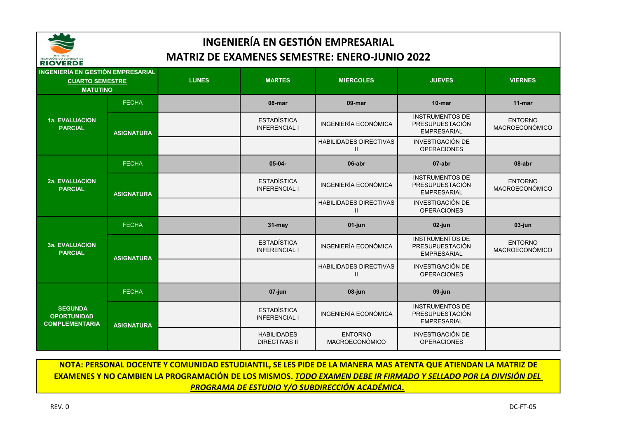

| RIVVERDE                                                                              |                   |              |                                            |                                                |                                                                 |                                  |
|---------------------------------------------------------------------------------------|-------------------|--------------|--------------------------------------------|------------------------------------------------|-----------------------------------------------------------------|----------------------------------|
| <b>INGENIERÍA EN GESTIÓN EMPRESARIAL</b><br><b>CUARTO SEMESTRE</b><br><b>MATUTINO</b> |                   | <b>LUNES</b> | <b>MARTES</b>                              | <b>MIERCOLES</b>                               | <b>JUEVES</b>                                                   | <b>VIERNES</b>                   |
|                                                                                       | <b>FECHA</b>      |              | 08-mar                                     | 09-mar                                         | $10$ -mar                                                       | $11$ -mar                        |
| <b>1a. EVALUACION</b><br><b>PARCIAL</b>                                               | <b>ASIGNATURA</b> |              | <b>ESTADÍSTICA</b><br><b>INFERENCIAL I</b> | <b>INGENIERÍA ECONÓMICA</b>                    | <b>INSTRUMENTOS DE</b><br>PRESUPUESTACIÓN<br><b>EMPRESARIAL</b> | <b>ENTORNO</b><br>MACROECONÓMICO |
|                                                                                       |                   |              |                                            | <b>HABILIDADES DIRECTIVAS</b><br>$\mathsf{I}$  | <b>INVESTIGACIÓN DE</b><br><b>OPERACIONES</b>                   |                                  |
| <b>2a. EVALUACION</b><br><b>PARCIAL</b>                                               | <b>FECHA</b>      |              | $05-04-$                                   | 06-abr                                         | 07-abr                                                          | 08-abr                           |
|                                                                                       | <b>ASIGNATURA</b> |              | <b>ESTADÍSTICA</b><br><b>INFERENCIAL I</b> | <b>INGENIERÍA ECONÓMICA</b>                    | <b>INSTRUMENTOS DE</b><br>PRESUPUESTACIÓN<br><b>EMPRESARIAL</b> | <b>ENTORNO</b><br>MACROECONÓMICO |
|                                                                                       |                   |              |                                            | <b>HABILIDADES DIRECTIVAS</b><br>$\mathsf{I}$  | <b>INVESTIGACIÓN DE</b><br><b>OPERACIONES</b>                   |                                  |
|                                                                                       | <b>FECHA</b>      |              | $31 -$ may                                 | 01-jun                                         | 02-jun                                                          | 03-jun                           |
| <b>3a. EVALUACION</b><br><b>PARCIAL</b>                                               | <b>ASIGNATURA</b> |              | <b>ESTADÍSTICA</b><br><b>INFERENCIAL I</b> | <b>INGENIERÍA ECONÓMICA</b>                    | <b>INSTRUMENTOS DE</b><br>PRESUPUESTACIÓN<br><b>EMPRESARIAL</b> | <b>ENTORNO</b><br>MACROECONÓMICO |
|                                                                                       |                   |              |                                            | <b>HABILIDADES DIRECTIVAS</b><br>$\mathbf{II}$ | <b>INVESTIGACIÓN DE</b><br><b>OPERACIONES</b>                   |                                  |
| <b>SEGUNDA</b><br><b>OPORTUNIDAD</b><br><b>COMPLEMENTARIA</b>                         | <b>FECHA</b>      |              | 07-jun                                     | 08-jun                                         | $09$ -jun                                                       |                                  |
|                                                                                       | <b>ASIGNATURA</b> |              | <b>ESTADÍSTICA</b><br><b>INFERENCIAL I</b> | <b>INGENIERÍA ECONÓMICA</b>                    | <b>INSTRUMENTOS DE</b><br>PRESUPUESTACIÓN<br><b>EMPRESARIAL</b> |                                  |
|                                                                                       |                   |              | <b>HABILIDADES</b><br><b>DIRECTIVAS II</b> | <b>ENTORNO</b><br>MACROECONÓMICO               | <b>INVESTIGACIÓN DE</b><br><b>OPERACIONES</b>                   |                                  |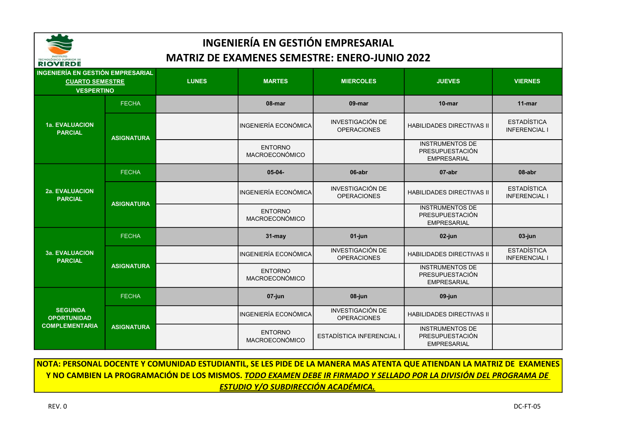

| <b>INGENIERÍA EN GESTIÓN EMPRESARIAL</b><br><b>CUARTO SEMESTRE</b><br><b>VESPERTINO</b> |                   | <b>LUNES</b> | <b>MARTES</b>                           | <b>MIERCOLES</b>                              | <b>JUEVES</b>                                                   | <b>VIERNES</b>                             |
|-----------------------------------------------------------------------------------------|-------------------|--------------|-----------------------------------------|-----------------------------------------------|-----------------------------------------------------------------|--------------------------------------------|
| <b>1a. EVALUACION</b><br><b>PARCIAL</b>                                                 | <b>FECHA</b>      |              | 08-mar                                  | 09-mar                                        | 10-mar                                                          | $11$ -mar                                  |
|                                                                                         | <b>ASIGNATURA</b> |              | INGENIERÍA ECONÓMICA                    | <b>INVESTIGACIÓN DE</b><br><b>OPERACIONES</b> | <b>HABILIDADES DIRECTIVAS II</b>                                | <b>ESTADÍSTICA</b><br><b>INFERENCIAL I</b> |
|                                                                                         |                   |              | <b>ENTORNO</b><br>MACROECONÓMICO        |                                               | <b>INSTRUMENTOS DE</b><br>PRESUPUESTACIÓN<br><b>EMPRESARIAL</b> |                                            |
|                                                                                         | <b>FECHA</b>      |              | $05-04-$                                | 06-abr                                        | 07-abr                                                          | 08-abr                                     |
| <b>2a. EVALUACION</b><br><b>PARCIAL</b>                                                 | <b>ASIGNATURA</b> |              | INGENIERÍA ECONÓMICA                    | <b>INVESTIGACIÓN DE</b><br><b>OPERACIONES</b> | <b>HABILIDADES DIRECTIVAS II</b>                                | <b>ESTADÍSTICA</b><br><b>INFERENCIAL I</b> |
|                                                                                         |                   |              | <b>ENTORNO</b><br><b>MACROECONÓMICO</b> |                                               | <b>INSTRUMENTOS DE</b><br>PRESUPUESTACIÓN<br><b>EMPRESARIAL</b> |                                            |
|                                                                                         | <b>FECHA</b>      |              | 31-may                                  | 01-jun                                        | 02-jun                                                          | 03-jun                                     |
| <b>3a. EVALUACION</b><br><b>PARCIAL</b>                                                 | <b>ASIGNATURA</b> |              | <b>INGENIERÍA ECONÓMICA</b>             | <b>INVESTIGACIÓN DE</b><br><b>OPERACIONES</b> | <b>HABILIDADES DIRECTIVAS II</b>                                | <b>ESTADÍSTICA</b><br><b>INFERENCIAL I</b> |
|                                                                                         |                   |              | <b>ENTORNO</b><br>MACROECONÓMICO        |                                               | <b>INSTRUMENTOS DE</b><br>PRESUPUESTACIÓN<br><b>EMPRESARIAL</b> |                                            |
| <b>SEGUNDA</b><br><b>OPORTUNIDAD</b><br><b>COMPLEMENTARIA</b>                           | <b>FECHA</b>      |              | 07-jun                                  | 08-jun                                        | 09-jun                                                          |                                            |
|                                                                                         |                   |              | <b>INGENIERÍA ECONÓMICA</b>             | <b>INVESTIGACIÓN DE</b><br><b>OPERACIONES</b> | <b>HABILIDADES DIRECTIVAS II</b>                                |                                            |
|                                                                                         | <b>ASIGNATURA</b> |              | <b>ENTORNO</b><br><b>MACROECONÓMICO</b> | ESTADÍSTICA INFERENCIAL I                     | <b>INSTRUMENTOS DE</b><br>PRESUPUESTACIÓN<br><b>EMPRESARIAL</b> |                                            |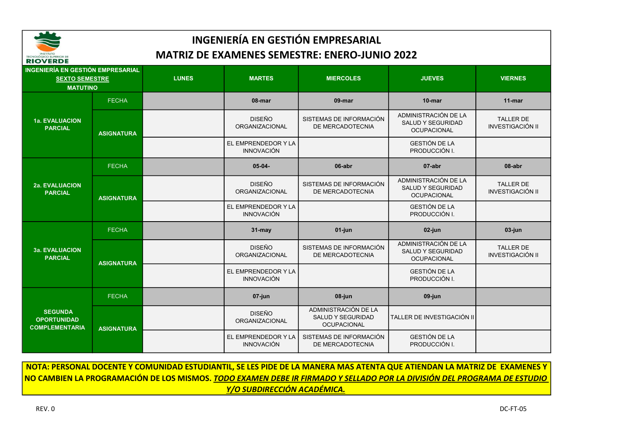

| <b>INGENIERÍA EN GESTIÓN EMPRESARIAL</b><br><b>SEXTO SEMESTRE</b><br><b>MATUTINO</b> |                   | <b>LUNES</b> | <b>MARTES</b>                            | <b>MIERCOLES</b>                                                | <b>JUEVES</b>                                                          | <b>VIERNES</b>                              |
|--------------------------------------------------------------------------------------|-------------------|--------------|------------------------------------------|-----------------------------------------------------------------|------------------------------------------------------------------------|---------------------------------------------|
| <b>1a. EVALUACION</b><br><b>PARCIAL</b>                                              | <b>FECHA</b>      |              | 08-mar                                   | 09-mar                                                          | $10$ -mar                                                              | $11$ -mar                                   |
|                                                                                      | <b>ASIGNATURA</b> |              | <b>DISEÑO</b><br><b>ORGANIZACIONAL</b>   | SISTEMAS DE INFORMACIÓN<br>DE MERCADOTECNIA                     | ADMINISTRACIÓN DE LA<br><b>SALUD Y SEGURIDAD</b><br><b>OCUPACIONAL</b> | <b>TALLER DE</b><br><b>INVESTIGACIÓN II</b> |
|                                                                                      |                   |              | EL EMPRENDEDOR Y LA<br><b>INNOVACIÓN</b> |                                                                 | <b>GESTIÓN DE LA</b><br>PRODUCCIÓN I.                                  |                                             |
|                                                                                      | <b>FECHA</b>      |              | $05 - 04 -$                              | 06-abr                                                          | 07-abr                                                                 | 08-abr                                      |
| <b>2a. EVALUACION</b><br><b>PARCIAL</b>                                              | <b>ASIGNATURA</b> |              | <b>DISEÑO</b><br>ORGANIZACIONAL          | SISTEMAS DE INFORMACIÓN<br>DE MERCADOTECNIA                     | ADMINISTRACIÓN DE LA<br><b>SALUD Y SEGURIDAD</b><br><b>OCUPACIONAL</b> | <b>TALLER DE</b><br><b>INVESTIGACIÓN II</b> |
|                                                                                      |                   |              | EL EMPRENDEDOR Y LA<br><b>INNOVACIÓN</b> |                                                                 | <b>GESTIÓN DE LA</b><br>PRODUCCIÓN I.                                  |                                             |
|                                                                                      | <b>FECHA</b>      |              | $31 -$ may                               | 01-jun                                                          | $02$ -jun                                                              | 03-jun                                      |
| <b>3a. EVALUACION</b><br><b>PARCIAL</b>                                              | <b>ASIGNATURA</b> |              | <b>DISEÑO</b><br><b>ORGANIZACIONAL</b>   | SISTEMAS DE INFORMACIÓN<br>DE MERCADOTECNIA                     | ADMINISTRACIÓN DE LA<br><b>SALUD Y SEGURIDAD</b><br><b>OCUPACIONAL</b> | <b>TALLER DE</b><br><b>INVESTIGACIÓN II</b> |
|                                                                                      |                   |              | EL EMPRENDEDOR Y LA<br><b>INNOVACIÓN</b> |                                                                 | <b>GESTIÓN DE LA</b><br>PRODUCCIÓN I.                                  |                                             |
| <b>SEGUNDA</b><br><b>OPORTUNIDAD</b><br><b>COMPLEMENTARIA</b>                        | <b>FECHA</b>      |              | 07-jun                                   | 08-jun                                                          | $09$ -jun                                                              |                                             |
|                                                                                      | <b>ASIGNATURA</b> |              | <b>DISEÑO</b><br><b>ORGANIZACIONAL</b>   | ADMINISTRACIÓN DE LA<br>SALUD Y SEGURIDAD<br><b>OCUPACIONAL</b> | TALLER DE INVESTIGACIÓN II                                             |                                             |
|                                                                                      |                   |              | EL EMPRENDEDOR Y LA<br><b>INNOVACIÓN</b> | SISTEMAS DE INFORMACIÓN<br>DE MERCADOTECNIA                     | <b>GESTIÓN DE LA</b><br>PRODUCCIÓN I.                                  |                                             |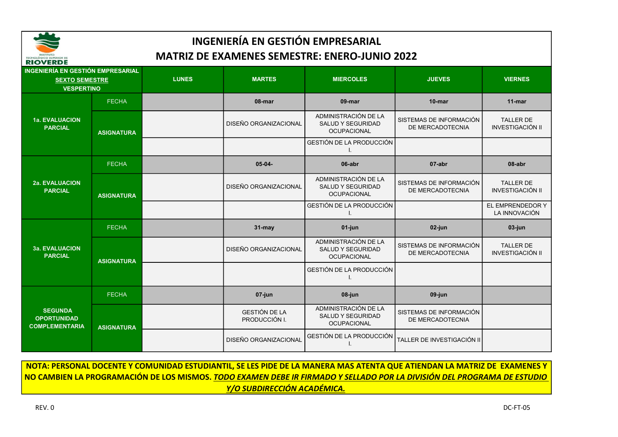

#### 03-jun DISEÑO ORGANIZACIONAL ADMINISTRACIÓN DE LA SALUD Y SEGURIDAD SISTEMAS DE INFORMACIÓN TALLER DE FECHA 31-may 01-jun 02-jun DISEÑO ORGANIZACIONAL ADMINISTRACIÓN DE LA SALUD Y SEGURIDAD **OCUPACIONAL** SISTEMAS DE INFORMACIÓN DE MERCADOTECNIA TALLER DE INVESTIGACIÓN II GESTIÓN DE LA PRODUCCIÓN I. EL EMPRENDEDOR Y LA INNOVACIÓN 2a. EVALUACION PARCIAL FECHA 05-04- 06-abr 07-abr 08-abr ASIGNATURA 11-mar **ASIGNATURA** DISEÑO ORGANIZACIONAL ADMINISTRACIÓN DE LA SALUD Y SEGURIDAD **OCUPACIONAL** SISTEMAS DE INFORMACIÓN DE MERCADOTECNIA TALLER DE INVESTIGACIÓN II GESTIÓN DE LA PRODUCCIÓN I. 1a. EVALUACION PARCIAL FECHA <mark>1</mark> to the contract of the contract of the contract of the contract of the contract of the contract of the contract of the contract of the contract of the contract of the contract of the contract of the contract of t INGENIERÍA EN GESTIÓN EMPRESARIAL MATRIZ DE EXAMENES SEMESTRE: ENERO-JUNIO 2022 INGENIERÍA EN GESTIÓN EMPRESARIAL SEXTO SEMESTRE LUNES MARTES MIERCOLES JUEVES VIERNES VESPERTINO

| <b>SEGUNDA</b><br><b>OPORTUNIDAD</b><br><b>COMPLEMENTARIA</b> | <b>ASIGNATURA</b> | <b>GESTIÓN DE LA</b><br>PRODUCCIÓN I.<br><b>DISEÑO ORGANIZACIONAL</b> | <b>SALUD Y SEGURIDAD</b><br><b>OCUPACIONAL</b><br>GESTIÓN DE LA PRODUCCIÓN | SISTEMAS DE INFORMACIÓN I<br>DE MERCADOTECNIA<br>TALLER DE INVESTIGACIÓN II |                                      |
|---------------------------------------------------------------|-------------------|-----------------------------------------------------------------------|----------------------------------------------------------------------------|-----------------------------------------------------------------------------|--------------------------------------|
|                                                               | <b>FECHA</b>      | 07-jun                                                                | 08-jun<br>ADMINISTRACIÓN DE LA                                             | 09-jun                                                                      |                                      |
|                                                               |                   |                                                                       | GESTIÓN DE LA PRODUCCIÓN                                                   |                                                                             |                                      |
| <b>3a. EVALUACION</b><br><b>PARCIAL</b>                       | <b>ASIGNATURA</b> | <b>DISEÑO ORGANIZACIONAL</b>                                          | ADMINISTRACIÓN DE LA<br>SALUD Y SEGURIDAD<br><b>OCUPACIONAL</b>            | SISTEMAS DE INFORMACIÓN<br>DE MERCADOTECNIA                                 | <b>TALLER DE</b><br>INVESTIGACIÓN II |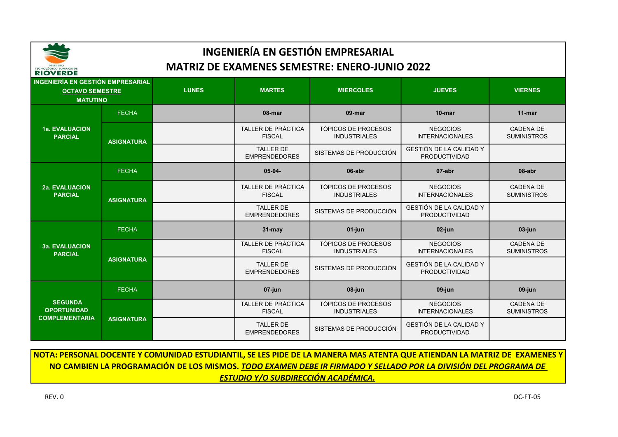

| <b>INGENIERÍA EN GESTIÓN EMPRESARIAL</b><br><b>OCTAVO SEMESTRE</b><br><b>MATUTINO</b> |                   | <b>LUNES</b> | <b>MARTES</b>                              | <b>MIERCOLES</b>                                  | <b>JUEVES</b>                                          | <b>VIERNES</b>                         |
|---------------------------------------------------------------------------------------|-------------------|--------------|--------------------------------------------|---------------------------------------------------|--------------------------------------------------------|----------------------------------------|
|                                                                                       | <b>FECHA</b>      |              | 08-mar                                     | 09-mar                                            | $10$ -mar                                              | $11$ -mar                              |
| <b>1a. EVALUACION</b><br><b>PARCIAL</b>                                               | <b>ASIGNATURA</b> |              | TALLER DE PRÁCTICA<br><b>FISCAL</b>        | TÓPICOS DE PROCESOS<br><b>INDUSTRIALES</b>        | <b>NEGOCIOS</b><br><b>INTERNACIONALES</b>              | <b>CADENA DE</b><br><b>SUMINISTROS</b> |
|                                                                                       |                   |              | <b>TALLER DE</b><br><b>EMPRENDEDORES</b>   | SISTEMAS DE PRODUCCIÓN                            | <b>GESTIÓN DE LA CALIDAD Y</b><br><b>PRODUCTIVIDAD</b> |                                        |
| <b>2a. EVALUACION</b><br><b>PARCIAL</b>                                               | <b>FECHA</b>      |              | $05-04-$                                   | 06-abr                                            | 07-abr                                                 | 08-abr                                 |
|                                                                                       | <b>ASIGNATURA</b> |              | <b>TALLER DE PRÁCTICA</b><br><b>FISCAL</b> | <b>TÓPICOS DE PROCESOS</b><br><b>INDUSTRIALES</b> | <b>NEGOCIOS</b><br><b>INTERNACIONALES</b>              | <b>CADENA DE</b><br><b>SUMINISTROS</b> |
|                                                                                       |                   |              | <b>TALLER DE</b><br><b>EMPRENDEDORES</b>   | SISTEMAS DE PRODUCCIÓN                            | GESTIÓN DE LA CALIDAD Y<br><b>PRODUCTIVIDAD</b>        |                                        |
|                                                                                       | <b>FECHA</b>      |              | $31 -$ may                                 | 01-jun                                            | 02-jun                                                 | 03-jun                                 |
| <b>3a. EVALUACION</b><br><b>PARCIAL</b>                                               |                   |              | <b>TALLER DE PRÁCTICA</b><br><b>FISCAL</b> | TÓPICOS DE PROCESOS<br><b>INDUSTRIALES</b>        | <b>NEGOCIOS</b><br><b>INTERNACIONALES</b>              | <b>CADENA DE</b><br><b>SUMINISTROS</b> |
|                                                                                       | <b>ASIGNATURA</b> |              | <b>TALLER DE</b><br><b>EMPRENDEDORES</b>   | SISTEMAS DE PRODUCCIÓN                            | GESTIÓN DE LA CALIDAD Y<br><b>PRODUCTIVIDAD</b>        |                                        |
| <b>SEGUNDA</b><br><b>OPORTUNIDAD</b><br><b>COMPLEMENTARIA</b>                         | <b>FECHA</b>      |              | 07-jun                                     | 08-jun                                            | 09-jun                                                 | $09$ -jun                              |
|                                                                                       |                   |              | <b>TALLER DE PRÁCTICA</b><br><b>FISCAL</b> | TÓPICOS DE PROCESOS<br><b>INDUSTRIALES</b>        | <b>NEGOCIOS</b><br><b>INTERNACIONALES</b>              | <b>CADENA DE</b><br><b>SUMINISTROS</b> |
|                                                                                       | <b>ASIGNATURA</b> |              | <b>TALLER DE</b><br><b>EMPRENDEDORES</b>   | SISTEMAS DE PRODUCCIÓN                            | GESTIÓN DE LA CALIDAD Y<br><b>PRODUCTIVIDAD</b>        |                                        |